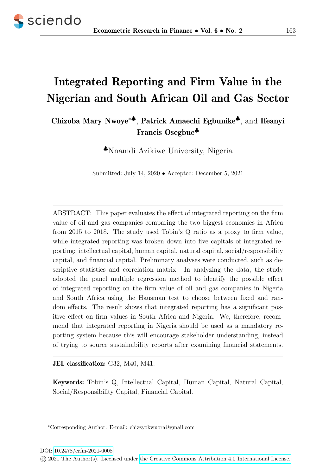

# Integrated Reporting and Firm Value in the Nigerian and South African Oil and Gas Sector

## Chizoba Mary Nwoye<sup>∗</sup>♣, Patrick Amaechi Egbunike♣, and Ifeanyi Francis Osegbue♣

♣Nnamdi Azikiwe University, Nigeria

Submitted: July 14, 2020 • Accepted: December 5, 2021

ABSTRACT: This paper evaluates the effect of integrated reporting on the firm value of oil and gas companies comparing the two biggest economies in Africa from 2015 to 2018. The study used Tobin's Q ratio as a proxy to firm value, while integrated reporting was broken down into five capitals of integrated reporting: intellectual capital, human capital, natural capital, social/responsibility capital, and financial capital. Preliminary analyses were conducted, such as descriptive statistics and correlation matrix. In analyzing the data, the study adopted the panel multiple regression method to identify the possible effect of integrated reporting on the firm value of oil and gas companies in Nigeria and South Africa using the Hausman test to choose between fixed and random effects. The result shows that integrated reporting has a significant positive effect on firm values in South Africa and Nigeria. We, therefore, recommend that integrated reporting in Nigeria should be used as a mandatory reporting system because this will encourage stakeholder understanding, instead of trying to source sustainability reports after examining financial statements.

JEL classification: G32, M40, M41.

Keywords: Tobin's Q, Intellectual Capital, Human Capital, Natural Capital, Social/Responsibility Capital, Financial Capital.

<sup>∗</sup>Corresponding Author. E-mail: chizzyokwuora@gmail.com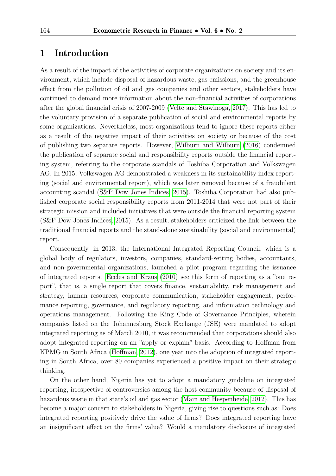### 1 Introduction

As a result of the impact of the activities of corporate organizations on society and its environment, which include disposal of hazardous waste, gas emissions, and the greenhouse effect from the pollution of oil and gas companies and other sectors, stakeholders have continued to demand more information about the non-financial activities of corporations after the global financial crisis of 2007-2009 [\(Velte and Stawinoga, 2017\)](#page-18-0). This has led to the voluntary provision of a separate publication of social and environmental reports by some organizations. Nevertheless, most organizations tend to ignore these reports either as a result of the negative impact of their activities on society or because of the cost of publishing two separate reports. However, [Wilburn and Wilburn](#page-18-1) [\(2016\)](#page-18-1) condemned the publication of separate social and responsibility reports outside the financial reporting system, referring to the corporate scandals of Toshiba Corporation and Volkswagen AG. In 2015, Volkswagen AG demonstrated a weakness in its sustainability index reporting (social and environmental report), which was later removed because of a fraudulent accounting scandal [\(S&P Dow Jones Indices, 2015\)](#page-18-2). Toshiba Corporation had also published corporate social responsibility reports from 2011-2014 that were not part of their strategic mission and included initiatives that were outside the financial reporting system [\(S&P Dow Jones Indices, 2015\)](#page-18-2). As a result, stakeholders criticized the link between the traditional financial reports and the stand-alone sustainability (social and environmental) report.

Consequently, in 2013, the International Integrated Reporting Council, which is a global body of regulators, investors, companies, standard-setting bodies, accountants, and non-governmental organizations, launched a pilot program regarding the issuance of integrated reports. [Eccles and Krzus](#page-16-0) [\(2010\)](#page-16-0) see this form of reporting as a "one report", that is, a single report that covers finance, sustainability, risk management and strategy, human resources, corporate communication, stakeholder engagement, performance reporting, governance, and regulatory reporting, and information technology and operations management. Following the King Code of Governance Principles, wherein companies listed on the Johannesburg Stock Exchange (JSE) were mandated to adopt integrated reporting as of March 2010, it was recommended that corporations should also adopt integrated reporting on an "apply or explain" basis. According to Hoffman from KPMG in South Africa [\(Hoffman, 2012\)](#page-16-1), one year into the adoption of integrated reporting in South Africa, over 80 companies experienced a positive impact on their strategic thinking.

On the other hand, Nigeria has yet to adopt a mandatory guideline on integrated reporting, irrespective of controversies among the host community because of disposal of hazardous waste in that state's oil and gas sector [\(Main and Hespenheide, 2012\)](#page-17-0). This has become a major concern to stakeholders in Nigeria, giving rise to questions such as: Does integrated reporting positively drive the value of firms? Does integrated reporting have an insignificant effect on the firms' value? Would a mandatory disclosure of integrated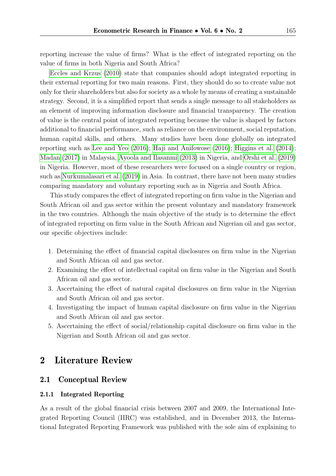reporting increase the value of firms? What is the effect of integrated reporting on the value of firms in both Nigeria and South Africa?

[Eccles and Krzus](#page-16-0) [\(2010\)](#page-16-0) state that companies should adopt integrated reporting in their external reporting for two main reasons. First, they should do so to create value not only for their shareholders but also for society as a whole by means of creating a sustainable strategy. Second, it is a simplified report that sends a single message to all stakeholders as an element of improving information disclosure and financial transparency. The creation of value is the central point of integrated reporting because the value is shaped by factors additional to financial performance, such as reliance on the environment, social reputation, human capital skills, and others. Many studies have been done globally on integrated reporting such as [Lee and Yeo](#page-17-1) [\(2016\)](#page-17-1); [Haji and Anifowose](#page-16-2) [\(2016\)](#page-16-2); [Higgins et al.](#page-16-3) [\(2014\)](#page-16-3); [Madan](#page-17-2) [\(2017\)](#page-17-2) in Malaysia, [Ayoola and Ilasanmi](#page-15-0) [\(2013\)](#page-15-0) in Nigeria, and [Orshi et al.](#page-17-3) [\(2019\)](#page-17-3) in Nigeria. However, most of these researchers were focused on a single country or region, such as [Nurkumalasari et al.](#page-17-4) [\(2019\)](#page-17-4) in Asia. In contrast, there have not been many studies comparing mandatory and voluntary reporting such as in Nigeria and South Africa.

This study compares the effect of integrated reporting on firm value in the Nigerian and South African oil and gas sector within the present voluntary and mandatory framework in the two countries. Although the main objective of the study is to determine the effect of integrated reporting on firm value in the South African and Nigerian oil and gas sector, our specific objectives include:

- 1. Determining the effect of financial capital disclosures on firm value in the Nigerian and South African oil and gas sector.
- 2. Examining the effect of intellectual capital on firm value in the Nigerian and South African oil and gas sector.
- 3. Ascertaining the effect of natural capital disclosures on firm value in the Nigerian and South African oil and gas sector.
- 4. Investigating the impact of human capital disclosure on firm value in the Nigerian and South African oil and gas sector.
- 5. Ascertaining the effect of social/relationship capital disclosure on firm value in the Nigerian and South African oil and gas sector.

### 2 Literature Review

#### 2.1 Conceptual Review

#### 2.1.1 Integrated Reporting

As a result of the global financial crisis between 2007 and 2009, the International Integrated Reporting Council (IIRC) was established, and in December 2013, the International Integrated Reporting Framework was published with the sole aim of explaining to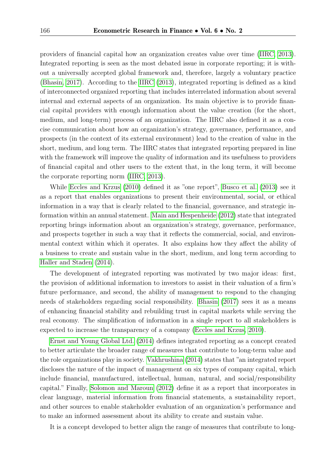providers of financial capital how an organization creates value over time [\(IIRC, 2013\)](#page-16-4). Integrated reporting is seen as the most debated issue in corporate reporting; it is without a universally accepted global framework and, therefore, largely a voluntary practice [\(Bhasin, 2017\)](#page-15-1). According to the [IIRC](#page-16-4) [\(2013\)](#page-16-4), integrated reporting is defined as a kind of interconnected organized reporting that includes interrelated information about several internal and external aspects of an organization. Its main objective is to provide financial capital providers with enough information about the value creation (for the short, medium, and long-term) process of an organization. The IIRC also defined it as a concise communication about how an organization's strategy, governance, performance, and prospects (in the context of its external environment) lead to the creation of value in the short, medium, and long term. The IIRC states that integrated reporting prepared in line with the framework will improve the quality of information and its usefulness to providers of financial capital and other users to the extent that, in the long term, it will become the corporate reporting norm [\(IIRC, 2013\)](#page-16-4).

While [Eccles and Krzus](#page-16-0) [\(2010\)](#page-16-0) defined it as "one report", [Busco et al.](#page-15-2) [\(2013\)](#page-15-2) see it as a report that enables organizations to present their environmental, social, or ethical information in a way that is clearly related to the financial, governance, and strategic information within an annual statement. [Main and Hespenheide](#page-17-0) [\(2012\)](#page-17-0) state that integrated reporting brings information about an organization's strategy, governance, performance, and prospects together in such a way that it reflects the commercial, social, and environmental context within which it operates. It also explains how they affect the ability of a business to create and sustain value in the short, medium, and long term according to [Haller and Staden](#page-16-5) [\(2014\)](#page-16-5).

The development of integrated reporting was motivated by two major ideas: first, the provision of additional information to investors to assist in their valuation of a firm's future performance, and second, the ability of management to respond to the changing needs of stakeholders regarding social responsibility. [Bhasin](#page-15-1) [\(2017\)](#page-15-1) sees it as a means of enhancing financial stability and rebuilding trust in capital markets while serving the real economy. The simplification of information in a single report to all stakeholders is expected to increase the transparency of a company [\(Eccles and Krzus, 2010\)](#page-16-0).

[Ernst and Young Global Ltd.](#page-16-6) [\(2014\)](#page-16-6) defines integrated reporting as a concept created to better articulate the broader range of measures that contribute to long-term value and the role organizations play in society. [Vakhrushina](#page-18-3) [\(2014\)](#page-18-3) states that "an integrated report discloses the nature of the impact of management on six types of company capital, which include financial, manufactured, intellectual, human, natural, and social/responsibility capital." Finally, [Solomon and Maroun](#page-17-5) [\(2012\)](#page-17-5) define it as a report that incorporates in clear language, material information from financial statements, a sustainability report, and other sources to enable stakeholder evaluation of an organization's performance and to make an informed assessment about its ability to create and sustain value.

It is a concept developed to better align the range of measures that contribute to long-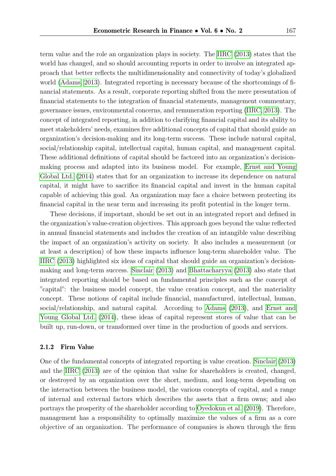term value and the role an organization plays in society. The [IIRC](#page-16-4) [\(2013\)](#page-16-4) states that the world has changed, and so should accounting reports in order to involve an integrated approach that better reflects the multidimensionality and connectivity of today's globalized world [\(Adams, 2013\)](#page-15-3). Integrated reporting is necessary because of the shortcomings of financial statements. As a result, corporate reporting shifted from the mere presentation of financial statements to the integration of financial statements, management commentary, governance issues, environmental concerns, and remuneration reporting [\(IIRC, 2013\)](#page-16-4). The concept of integrated reporting, in addition to clarifying financial capital and its ability to meet stakeholders' needs, examines five additional concepts of capital that should guide an organization's decision-making and its long-term success. These include natural capital, social/relationship capital, intellectual capital, human capital, and management capital. These additional definitions of capital should be factored into an organization's decisionmaking process and adapted into its business model. For example, [Ernst and Young](#page-16-6) [Global Ltd.](#page-16-6) [\(2014\)](#page-16-6) states that for an organization to increase its dependence on natural capital, it might have to sacrifice its financial capital and invest in the human capital capable of achieving this goal. An organization may face a choice between protecting its financial capital in the near term and increasing its profit potential in the longer term.

These decisions, if important, should be set out in an integrated report and defined in the organization's value-creation objectives. This approach goes beyond the value reflected in annual financial statements and includes the creation of an intangible value describing the impact of an organization's activity on society. It also includes a measurement (or at least a description) of how these impacts influence long-term shareholder value. The [IIRC](#page-16-4) [\(2013\)](#page-16-4) highlighted six ideas of capital that should guide an organization's decisionmaking and long-term success. [Sinclair](#page-17-6) [\(2013\)](#page-17-6) and [Bhattacharyya](#page-15-4) [\(2013\)](#page-15-4) also state that integrated reporting should be based on fundamental principles such as the concept of "capital": the business model concept, the value creation concept, and the materiality concept. These notions of capital include financial, manufactured, intellectual, human, social/relationship, and natural capital. According to [Adams](#page-15-3) [\(2013\)](#page-15-3), and [Ernst and](#page-16-6) [Young Global Ltd.](#page-16-6) [\(2014\)](#page-16-6), these ideas of capital represent stores of value that can be built up, run-down, or transformed over time in the production of goods and services.

#### 2.1.2 Firm Value

One of the fundamental concepts of integrated reporting is value creation. [Sinclair](#page-17-6) [\(2013\)](#page-17-6) and the [IIRC](#page-16-4) [\(2013\)](#page-16-4) are of the opinion that value for shareholders is created, changed, or destroyed by an organization over the short, medium, and long-term depending on the interaction between the business model, the various concepts of capital, and a range of internal and external factors which describes the assets that a firm owns; and also portrays the prosperity of the shareholder according to [Oyedokun et al.](#page-17-7) [\(2019\)](#page-17-7). Therefore, management has a responsibility to optimally maximize the values of a firm as a core objective of an organization. The performance of companies is shown through the firm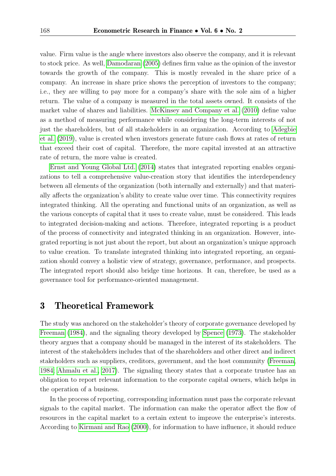value. Firm value is the angle where investors also observe the company, and it is relevant to stock price. As well, [Damodaran](#page-15-5) [\(2005\)](#page-15-5) defines firm value as the opinion of the investor towards the growth of the company. This is mostly revealed in the share price of a company. An increase in share price shows the perception of investors to the company; i.e., they are willing to pay more for a company's share with the sole aim of a higher return. The value of a company is measured in the total assets owned. It consists of the market value of shares and liabilities. [McKinsey and Company et al.](#page-17-8) [\(2010\)](#page-17-8) define value as a method of measuring performance while considering the long-term interests of not just the shareholders, but of all stakeholders in an organization. According to [Adegbie](#page-15-6) [et al.](#page-15-6) [\(2019\)](#page-15-6), value is created when investors generate future cash flows at rates of return that exceed their cost of capital. Therefore, the more capital invested at an attractive rate of return, the more value is created.

[Ernst and Young Global Ltd.](#page-16-6) [\(2014\)](#page-16-6) states that integrated reporting enables organizations to tell a comprehensive value-creation story that identifies the interdependency between all elements of the organization (both internally and externally) and that materially affects the organization's ability to create value over time. This connectivity requires integrated thinking. All the operating and functional units of an organization, as well as the various concepts of capital that it uses to create value, must be considered. This leads to integrated decision-making and actions. Therefore, integrated reporting is a product of the process of connectivity and integrated thinking in an organization. However, integrated reporting is not just about the report, but about an organization's unique approach to value creation. To translate integrated thinking into integrated reporting, an organization should convey a holistic view of strategy, governance, performance, and prospects. The integrated report should also bridge time horizons. It can, therefore, be used as a governance tool for performance-oriented management.

### 3 Theoretical Framework

The study was anchored on the stakeholder's theory of corporate governance developed by [Freeman](#page-16-7) [\(1984\)](#page-16-7), and the signaling theory developed by [Spence](#page-18-4) [\(1973\)](#page-18-4). The stakeholder theory argues that a company should be managed in the interest of its stakeholders. The interest of the stakeholders includes that of the shareholders and other direct and indirect stakeholders such as suppliers, creditors, government, and the host community [\(Freeman,](#page-16-7) [1984;](#page-16-7) [Ahmalu et al., 2017\)](#page-15-7). The signaling theory states that a corporate trustee has an obligation to report relevant information to the corporate capital owners, which helps in the operation of a business.

In the process of reporting, corresponding information must pass the corporate relevant signals to the capital market. The information can make the operator affect the flow of resources in the capital market to a certain extent to improve the enterprise's interests. According to [Kirmani and Rao](#page-17-9) [\(2000\)](#page-17-9), for information to have influence, it should reduce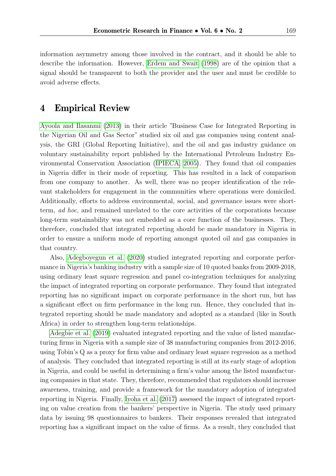information asymmetry among those involved in the contract, and it should be able to describe the information. However, [Erdem and Swait](#page-16-8) [\(1998\)](#page-16-8) are of the opinion that a signal should be transparent to both the provider and the user and must be credible to avoid adverse effects.

### 4 Empirical Review

[Ayoola and Ilasanmi](#page-15-0) [\(2013\)](#page-15-0) in their article "Business Case for Integrated Reporting in the Nigerian Oil and Gas Sector" studied six oil and gas companies using content analysis, the GRI (Global Reporting Initiative), and the oil and gas industry guidance on voluntary sustainability report published by the International Petroleum Industry Environmental Conservation Association [\(IPIECA, 2005\)](#page-16-9). They found that oil companies in Nigeria differ in their mode of reporting. This has resulted in a lack of comparison from one company to another. As well, there was no proper identification of the relevant stakeholders for engagement in the communities where operations were domiciled. Additionally, efforts to address environmental, social, and governance issues were shortterm, ad hoc, and remained unrelated to the core activities of the corporations because long-term sustainability was not embedded as a core function of the businesses. They, therefore, concluded that integrated reporting should be made mandatory in Nigeria in order to ensure a uniform mode of reporting amongst quoted oil and gas companies in that country.

Also, [Adegboyegun et al.](#page-15-8) [\(2020\)](#page-15-8) studied integrated reporting and corporate performance in Nigeria's banking industry with a sample size of 10 quoted banks from 2009-2018, using ordinary least square regression and panel co-integration techniques for analyzing the impact of integrated reporting on corporate performance. They found that integrated reporting has no significant impact on corporate performance in the short run, but has a significant effect on firm performance in the long run. Hence, they concluded that integrated reporting should be made mandatory and adopted as a standard (like in South Africa) in order to strengthen long-term relationships.

[Adegbie et al.](#page-15-6) [\(2019\)](#page-15-6) evaluated integrated reporting and the value of listed manufacturing firms in Nigeria with a sample size of 38 manufacturing companies from 2012-2016, using Tobin's Q as a proxy for firm value and ordinary least square regression as a method of analysis. They concluded that integrated reporting is still at its early stage of adoption in Nigeria, and could be useful in determining a firm's value among the listed manufacturing companies in that state. They, therefore, recommended that regulators should increase awareness, training, and provide a framework for the mandatory adoption of integrated reporting in Nigeria. Finally, [Iyoha et al.](#page-17-10) [\(2017\)](#page-17-10) assessed the impact of integrated reporting on value creation from the bankers' perspective in Nigeria. The study used primary data by issuing 98 questionnaires to bankers. Their responses revealed that integrated reporting has a significant impact on the value of firms. As a result, they concluded that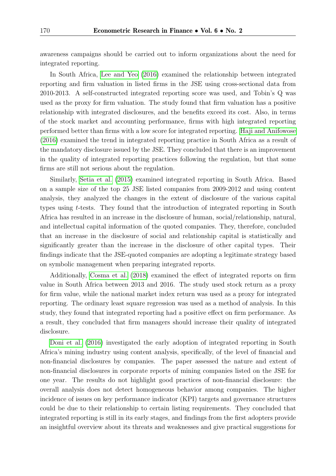awareness campaigns should be carried out to inform organizations about the need for integrated reporting.

In South Africa, [Lee and Yeo](#page-17-1) [\(2016\)](#page-17-1) examined the relationship between integrated reporting and firm valuation in listed firms in the JSE using cross-sectional data from 2010-2013. A self-constructed integrated reporting score was used, and Tobin's Q was used as the proxy for firm valuation. The study found that firm valuation has a positive relationship with integrated disclosures, and the benefits exceed its cost. Also, in terms of the stock market and accounting performance, firms with high integrated reporting performed better than firms with a low score for integrated reporting. [Haji and Anifowose](#page-16-2) [\(2016\)](#page-16-2) examined the trend in integrated reporting practice in South Africa as a result of the mandatory disclosure issued by the JSE. They concluded that there is an improvement in the quality of integrated reporting practices following the regulation, but that some firms are still not serious about the regulation.

Similarly, [Setia et al.](#page-17-11) [\(2015\)](#page-17-11) examined integrated reporting in South Africa. Based on a sample size of the top 25 JSE listed companies from 2009-2012 and using content analysis, they analyzed the changes in the extent of disclosure of the various capital types using t-tests. They found that the introduction of integrated reporting in South Africa has resulted in an increase in the disclosure of human, social/relationship, natural, and intellectual capital information of the quoted companies. They, therefore, concluded that an increase in the disclosure of social and relationship capital is statistically and significantly greater than the increase in the disclosure of other capital types. Their findings indicate that the JSE-quoted companies are adopting a legitimate strategy based on symbolic management when preparing integrated reports.

Additionally, [Cosma et al.](#page-15-9) [\(2018\)](#page-15-9) examined the effect of integrated reports on firm value in South Africa between 2013 and 2016. The study used stock return as a proxy for firm value, while the national market index return was used as a proxy for integrated reporting. The ordinary least square regression was used as a method of analysis. In this study, they found that integrated reporting had a positive effect on firm performance. As a result, they concluded that firm managers should increase their quality of integrated disclosure.

[Doni et al.](#page-16-10) [\(2016\)](#page-16-10) investigated the early adoption of integrated reporting in South Africa's mining industry using content analysis, specifically, of the level of financial and non-financial disclosures by companies. The paper assessed the nature and extent of non-financial disclosures in corporate reports of mining companies listed on the JSE for one year. The results do not highlight good practices of non-financial disclosure: the overall analysis does not detect homogeneous behavior among companies. The higher incidence of issues on key performance indicator (KPI) targets and governance structures could be due to their relationship to certain listing requirements. They concluded that integrated reporting is still in its early stages, and findings from the first adopters provide an insightful overview about its threats and weaknesses and give practical suggestions for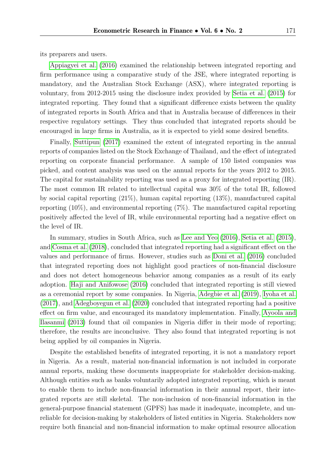its preparers and users.

[Appiagyei et al.](#page-15-10) [\(2016\)](#page-15-10) examined the relationship between integrated reporting and firm performance using a comparative study of the JSE, where integrated reporting is mandatory, and the Australian Stock Exchange (ASX), where integrated reporting is voluntary, from 2012-2015 using the disclosure index provided by [Setia et al.](#page-17-11) [\(2015\)](#page-17-11) for integrated reporting. They found that a significant difference exists between the quality of integrated reports in South Africa and that in Australia because of differences in their respective regulatory settings. They thus concluded that integrated reports should be encouraged in large firms in Australia, as it is expected to yield some desired benefits.

Finally, [Suttipun](#page-18-5) [\(2017\)](#page-18-5) examined the extent of integrated reporting in the annual reports of companies listed on the Stock Exchange of Thailand, and the effect of integrated reporting on corporate financial performance. A sample of 150 listed companies was picked, and content analysis was used on the annual reports for the years 2012 to 2015. The capital for sustainability reporting was used as a proxy for integrated reporting (IR). The most common IR related to intellectual capital was 30% of the total IR, followed by social capital reporting (21%), human capital reporting (13%), manufactured capital reporting (10%), and environmental reporting (7%). The manufactured capital reporting positively affected the level of IR, while environmental reporting had a negative effect on the level of IR.

In summary, studies in South Africa, such as [Lee and Yeo](#page-17-1) [\(2016\)](#page-17-1), [Setia et al.](#page-17-11) [\(2015\)](#page-17-11), and [Cosma et al.](#page-15-9) [\(2018\)](#page-15-9), concluded that integrated reporting had a significant effect on the values and performance of firms. However, studies such as [Doni et al.](#page-16-10) [\(2016\)](#page-16-10) concluded that integrated reporting does not highlight good practices of non-financial disclosure and does not detect homogeneous behavior among companies as a result of its early adoption. [Haji and Anifowose](#page-16-2) [\(2016\)](#page-16-2) concluded that integrated reporting is still viewed as a ceremonial report by some companies. In Nigeria, [Adegbie et al.](#page-15-6) [\(2019\)](#page-15-6), [Iyoha et al.](#page-17-10) [\(2017\)](#page-17-10), and [Adegboyegun et al.](#page-15-8) [\(2020\)](#page-15-8) concluded that integrated reporting had a positive effect on firm value, and encouraged its mandatory implementation. Finally, [Ayoola and](#page-15-0) [Ilasanmi](#page-15-0) [\(2013\)](#page-15-0) found that oil companies in Nigeria differ in their mode of reporting; therefore, the results are inconclusive. They also found that integrated reporting is not being applied by oil companies in Nigeria.

Despite the established benefits of integrated reporting, it is not a mandatory report in Nigeria. As a result, material non-financial information is not included in corporate annual reports, making these documents inappropriate for stakeholder decision-making. Although entities such as banks voluntarily adopted integrated reporting, which is meant to enable them to include non-financial information in their annual report, their integrated reports are still skeletal. The non-inclusion of non-financial information in the general-purpose financial statement (GPFS) has made it inadequate, incomplete, and unreliable for decision-making by stakeholders of listed entities in Nigeria. Stakeholders now require both financial and non-financial information to make optimal resource allocation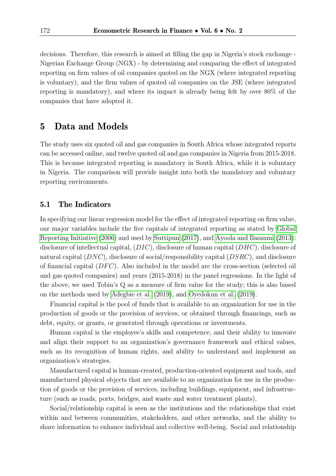decisions. Therefore, this research is aimed at filling the gap in Nigeria's stock exchange - Nigerian Exchange Group (NGX) - by determining and comparing the effect of integrated reporting on firm values of oil companies quoted on the NGX (where integrated reporting is voluntary), and the firm values of quoted oil companies on the JSE (where integrated reporting is mandatory), and where its impact is already being felt by over 80% of the companies that have adopted it.

#### 5 Data and Models

The study uses six quoted oil and gas companies in South Africa whose integrated reports can be accessed online, and twelve quoted oil and gas companies in Nigeria from 2015-2018. This is because integrated reporting is mandatory in South Africa, while it is voluntary in Nigeria. The comparison will provide insight into both the mandatory and voluntary reporting environments.

#### 5.1 The Indicators

In specifying our linear regression model for the effect of integrated reporting on firm value, our major variables include the five capitals of integrated reporting as stated by [Global](#page-16-11) [Reporting Initiative](#page-16-11) [\(2006\)](#page-16-11) and used by [Suttipun](#page-18-5) [\(2017\)](#page-18-5), and [Ayoola and Ilasanmi](#page-15-0) [\(2013\)](#page-15-0): disclosure of intellectual capital,  $(DIC)$ , disclosure of human capital  $(DHC)$ , disclosure of natural capital  $(DNC)$ , disclosure of social/responsibility capital  $(DSRC)$ , and disclosure of financial capital  $(DFC)$ . Also included in the model are the cross-section (selected oil and gas quoted companies) and years (2015-2018) in the panel regressions. In the light of the above, we used Tobin's Q as a measure of firm value for the study; this is also based on the methods used by [Adegbie et al.](#page-15-6) [\(2019\)](#page-15-6), and [Oyedokun et al.](#page-17-7) [\(2019\)](#page-17-7).

Financial capital is the pool of funds that is available to an organization for use in the production of goods or the provision of services, or obtained through financings, such as debt, equity, or grants, or generated through operations or investments.

Human capital is the employee's skills and competence, and their ability to innovate and align their support to an organization's governance framework and ethical values, such as its recognition of human rights, and ability to understand and implement an organization's strategies.

Manufactured capital is human-created, production-oriented equipment and tools, and manufactured physical objects that are available to an organization for use in the production of goods or the provision of services, including buildings, equipment, and infrastructure (such as roads, ports, bridges, and waste and water treatment plants).

Social/relationship capital is seen as the institutions and the relationships that exist within and between communities, stakeholders, and other networks, and the ability to share information to enhance individual and collective well-being. Social and relationship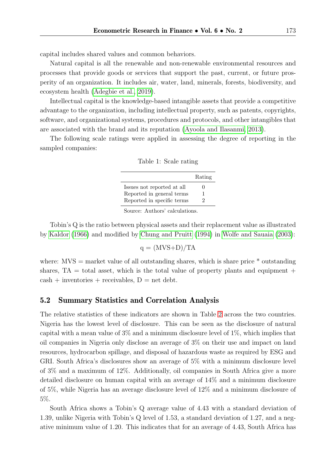capital includes shared values and common behaviors.

Natural capital is all the renewable and non-renewable environmental resources and processes that provide goods or services that support the past, current, or future prosperity of an organization. It includes air, water, land, minerals, forests, biodiversity, and ecosystem health [\(Adegbie et al., 2019\)](#page-15-6).

Intellectual capital is the knowledge-based intangible assets that provide a competitive advantage to the organization, including intellectual property, such as patents, copyrights, software, and organizational systems, procedures and protocols, and other intangibles that are associated with the brand and its reputation [\(Ayoola and Ilasanmi, 2013\)](#page-15-0).

The following scale ratings were applied in assessing the degree of reporting in the sampled companies:

|  | Table 1: Scale rating |  |
|--|-----------------------|--|
|  |                       |  |

|                            | Rating |
|----------------------------|--------|
| Issues not reported at all | 0      |
| Reported in general terms  | 1      |
| Reported in specific terms | 2      |

Source: Authors' calculations.

Tobin's Q is the ratio between physical assets and their replacement value as illustrated by [Kaldor](#page-17-12) [\(1966\)](#page-17-12) and modified by [Chung and Pruitt](#page-15-11) [\(1994\)](#page-15-11) in [Wolfe and Sauaia](#page-18-6) [\(2003\)](#page-18-6):

$$
q = (MVS+D)/TA
$$

where:  $MVS =$  market value of all outstanding shares, which is share price  $*$  outstanding shares,  $TA = total$  asset, which is the total value of property plants and equipment +  $\cosh + \text{inventories} + \text{receivables}, D = \text{net debt}.$ 

#### 5.2 Summary Statistics and Correlation Analysis

The relative statistics of these indicators are shown in Table [2](#page-11-0) across the two countries. Nigeria has the lowest level of disclosure. This can be seen as the disclosure of natural capital with a mean value of  $3\%$  and a minimum disclosure level of  $1\%$ , which implies that oil companies in Nigeria only disclose an average of 3% on their use and impact on land resources, hydrocarbon spillage, and disposal of hazardous waste as required by ESG and GRI. South Africa's disclosures show an average of 5% with a minimum disclosure level of 3% and a maximum of 12%. Additionally, oil companies in South Africa give a more detailed disclosure on human capital with an average of 14% and a minimum disclosure of 5%, while Nigeria has an average disclosure level of 12% and a minimum disclosure of 5%.

South Africa shows a Tobin's Q average value of 4.43 with a standard deviation of 1.39, unlike Nigeria with Tobin's Q level of 1.53, a standard deviation of 1.27, and a negative minimum value of 1.20. This indicates that for an average of 4.43, South Africa has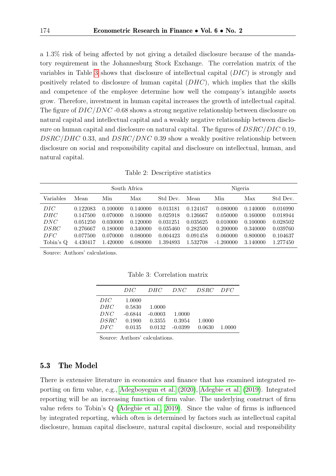a 1.3% risk of being affected by not giving a detailed disclosure because of the mandatory requirement in the Johannesburg Stock Exchange. The correlation matrix of the variables in Table [3](#page-11-1) shows that disclosure of intellectual capital (DIC) is strongly and positively related to disclosure of human capital  $(DHC)$ , which implies that the skills and competence of the employee determine how well the company's intangible assets grow. Therefore, investment in human capital increases the growth of intellectual capital. The figure of  $DIC/DNC -0.68$  shows a strong negative relationship between disclosure on natural capital and intellectual capital and a weakly negative relationship between disclosure on human capital and disclosure on natural capital. The figures of DSRC/DIC 0.19, DSRC/DHC 0.33, and DSRC/DNC 0.39 show a weakly positive relationship between disclosure on social and responsibility capital and disclosure on intellectual, human, and natural capital.

|  | Table 2: Descriptive statistics |  |
|--|---------------------------------|--|
|--|---------------------------------|--|

<span id="page-11-0"></span>

| South Africa                                         |                                                                      |                                                                     |                                                                      | Nigeria                                                              |                                                                      |                                                                         |                                                                      |                                                                      |
|------------------------------------------------------|----------------------------------------------------------------------|---------------------------------------------------------------------|----------------------------------------------------------------------|----------------------------------------------------------------------|----------------------------------------------------------------------|-------------------------------------------------------------------------|----------------------------------------------------------------------|----------------------------------------------------------------------|
| Variables                                            | Mean                                                                 | Min                                                                 | Max                                                                  | Std Dev.                                                             | Mean                                                                 | Min                                                                     | Max                                                                  | Std Dev.                                                             |
| DIC<br>DHC<br>DNC<br><i>DSRC</i><br>DEC<br>Tobin's Q | 0.122083<br>0.147500<br>0.051250<br>0.276667<br>0.077500<br>4.430417 | 0.100000<br>0.070000<br>0.030000<br>0.180000<br>0.070000<br>.420000 | 0.140000<br>0.160000<br>0.120000<br>0.340000<br>0.080000<br>6.080000 | 0.013181<br>0.025918<br>0.031251<br>0.035460<br>0.004423<br>1.394893 | 0.124167<br>0.126667<br>0.035625<br>0.282500<br>0.091458<br>1.532708 | 0.080000<br>0.050000<br>0.010000<br>0.200000<br>0.060000<br>$-1.200000$ | 0.140000<br>0.160000<br>0.100000<br>0.340000<br>0.800000<br>3.140000 | 0.016990<br>0.018944<br>0.028502<br>0.039760<br>0.104637<br>1.277450 |

<span id="page-11-1"></span>Source: Authors' calculations.

Table 3: Correlation matrix

|             | DIC       | DHC       | DNC       | DSRC DFC |        |
|-------------|-----------|-----------|-----------|----------|--------|
| DIC         | 1.0000    |           |           |          |        |
| DHC         | 0.5830    | 1.0000    |           |          |        |
| DNC         | $-0.6844$ | $-0.0003$ | 1.0000    |          |        |
| <i>DSRC</i> | 0.1900    | 0.3355    | 0.3954    | 1.0000   |        |
| DEC         | 0.0135    | 0.0132    | $-0.0399$ | 0.0630   | 1.0000 |

Source: Authors' calculations.

#### 5.3 The Model

There is extensive literature in economics and finance that has examined integrated reporting on firm value, e.g., [Adegboyegun et al.](#page-15-8) [\(2020\)](#page-15-8), [Adegbie et al.](#page-15-6) [\(2019\)](#page-15-6). Integrated reporting will be an increasing function of firm value. The underlying construct of firm value refers to Tobin's Q [\(Adegbie et al., 2019\)](#page-15-6). Since the value of firms is influenced by integrated reporting, which often is determined by factors such as intellectual capital disclosure, human capital disclosure, natural capital disclosure, social and responsibility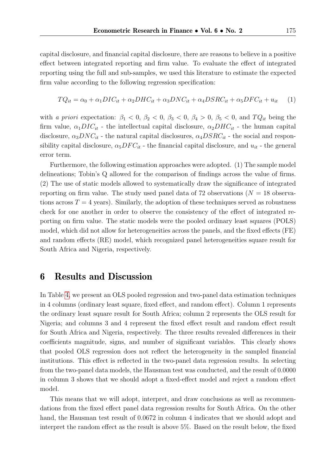capital disclosure, and financial capital disclosure, there are reasons to believe in a positive effect between integrated reporting and firm value. To evaluate the effect of integrated reporting using the full and sub-samples, we used this literature to estimate the expected firm value according to the following regression specification:

$$
TQ_{it} = \alpha_0 + \alpha_1 DIC_{it} + \alpha_2 DHC_{it} + \alpha_3 DNC_{it} + \alpha_4 DSRC_{it} + \alpha_5 DFC_{it} + u_{it} \tag{1}
$$

with a priori expectation:  $\beta_1 < 0$ ,  $\beta_2 < 0$ ,  $\beta_3 < 0$ ,  $\beta_4 > 0$ ,  $\beta_5 < 0$ , and  $TQ_{it}$  being the firm value,  $\alpha_1 DIC_{it}$  - the intellectual capital disclosure,  $\alpha_2 DHC_{it}$  - the human capital disclosure,  $\alpha_3 DNC_{it}$  - the natural capital disclosures,  $\alpha_4 DSRC_{it}$  - the social and responsibility capital disclosure,  $\alpha_5 DFC_{it}$  - the financial capital disclosure, and  $u_{it}$  - the general error term.

Furthermore, the following estimation approaches were adopted. (1) The sample model delineations; Tobin's Q allowed for the comparison of findings across the value of firms. (2) The use of static models allowed to systematically draw the significance of integrated reporting on firm value. The study used panel data of 72 observations ( $N = 18$  observations across  $T = 4$  years). Similarly, the adoption of these techniques served as robustness check for one another in order to observe the consistency of the effect of integrated reporting on firm value. The static models were the pooled ordinary least squares (POLS) model, which did not allow for heterogeneities across the panels, and the fixed effects (FE) and random effects (RE) model, which recognized panel heterogeneities square result for South Africa and Nigeria, respectively.

#### 6 Results and Discussion

In Table [4,](#page-13-0) we present an OLS pooled regression and two-panel data estimation techniques in 4 columns (ordinary least square, fixed effect, and random effect). Column 1 represents the ordinary least square result for South Africa; column 2 represents the OLS result for Nigeria; and columns 3 and 4 represent the fixed effect result and random effect result for South Africa and Nigeria, respectively. The three results revealed differences in their coefficients magnitude, signs, and number of significant variables. This clearly shows that pooled OLS regression does not reflect the heterogeneity in the sampled financial institutions. This effect is reflected in the two-panel data regression results. In selecting from the two-panel data models, the Hausman test was conducted, and the result of 0.0000 in column 3 shows that we should adopt a fixed-effect model and reject a random effect model.

This means that we will adopt, interpret, and draw conclusions as well as recommendations from the fixed effect panel data regression results for South Africa. On the other hand, the Hausman test result of 0.0672 in column 4 indicates that we should adopt and interpret the random effect as the result is above 5%. Based on the result below, the fixed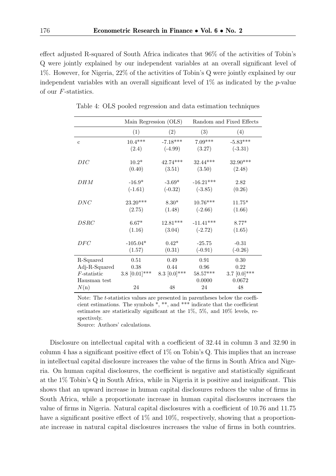effect adjusted R-squared of South Africa indicates that 96% of the activities of Tobin's Q were jointly explained by our independent variables at an overall significant level of 1%. However, for Nigeria, 22% of the activities of Tobin's Q were jointly explained by our independent variables with an overall significant level of  $1\%$  as indicated by the p-value of our F-statistics.

|                | Main Regression (OLS) |                 | Random and Fixed Effects |                 |  |
|----------------|-----------------------|-----------------|--------------------------|-----------------|--|
|                | (1)                   | (2)             | (3)                      | (4)             |  |
| $\mathbf{c}$   | $10.4***$             | $-7.18***$      | $7.09***$                | $-5.83***$      |  |
|                | (2.4)                 | $(-4.99)$       | (3.27)                   | $(-3.31)$       |  |
| DIC            | $10.2*$               | $42.74***$      | $32.44***$               | 32.90***        |  |
|                | (0.40)                | (3.51)          | (3.50)                   | (2.48)          |  |
| DHM            | $-16.9*$              | $-3.69*$        | $-16.21***$              | 2.82            |  |
|                | $(-1.61)$             | $(-0.32)$       | $(-3.85)$                | (0.26)          |  |
| DNC            | $23.20***$            | $8.30*$         | $10.76***$               | $11.75*$        |  |
|                | (2.75)                | (1.48)          | $(-2.66)$                | (1.66)          |  |
| DSRC           | $6.67*$               | $12.81***$      | $-11.41***$              | $8.77*$         |  |
|                | (1.16)                | (3.04)          | $(-2.72)$                | (1.65)          |  |
| $_{DFC}$       | $-105.04*$            | $0.42*$         | $-25.75$                 | $-0.31$         |  |
|                | (1.57)                | (0.31)          | $(-0.91)$                | $(-0.26)$       |  |
| R-Squared      | 0.51                  | 0.49            | 0.91                     | 0.30            |  |
| Adj-R-Squared  | 0.38                  | 0.44            | $\rm 0.96$               | 0.22            |  |
| $F$ -statistic | $3.8$ [0.01]***       | 8.3 $[0.0]$ *** | $58.57***$               | 3.7 $[0.0]$ *** |  |
| Hausman test   |                       |                 | 0.0000                   | 0.0672          |  |
| N(n)           | $24\,$                | 48              | 24                       | $48\,$          |  |

<span id="page-13-0"></span>Table 4: OLS pooled regression and data estimation techniques

Note: The *t*-statistics values are presented in parentheses below the coefficient estimations. The symbols \*, \*\*, and \*\*\* indicate that the coefficient estimates are statistically significant at the 1%, 5%, and 10% levels, respectively.

Source: Authors' calculations.

Disclosure on intellectual capital with a coefficient of 32.44 in column 3 and 32.90 in column 4 has a significant positive effect of 1% on Tobin's Q. This implies that an increase in intellectual capital disclosure increases the value of the firms in South Africa and Nigeria. On human capital disclosures, the coefficient is negative and statistically significant at the 1% Tobin's Q in South Africa, while in Nigeria it is positive and insignificant. This shows that an upward increase in human capital disclosures reduces the value of firms in South Africa, while a proportionate increase in human capital disclosures increases the value of firms in Nigeria. Natural capital disclosures with a coefficient of 10.76 and 11.75 have a significant positive effect of  $1\%$  and  $10\%$ , respectively, showing that a proportionate increase in natural capital disclosures increases the value of firms in both countries.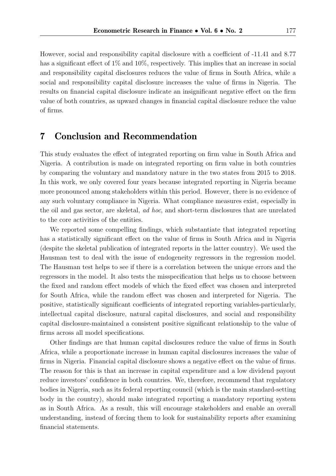However, social and responsibility capital disclosure with a coefficient of -11.41 and 8.77 has a significant effect of  $1\%$  and  $10\%$ , respectively. This implies that an increase in social and responsibility capital disclosures reduces the value of firms in South Africa, while a social and responsibility capital disclosure increases the value of firms in Nigeria. The results on financial capital disclosure indicate an insignificant negative effect on the firm value of both countries, as upward changes in financial capital disclosure reduce the value of firms.

### 7 Conclusion and Recommendation

This study evaluates the effect of integrated reporting on firm value in South Africa and Nigeria. A contribution is made on integrated reporting on firm value in both countries by comparing the voluntary and mandatory nature in the two states from 2015 to 2018. In this work, we only covered four years because integrated reporting in Nigeria became more pronounced among stakeholders within this period. However, there is no evidence of any such voluntary compliance in Nigeria. What compliance measures exist, especially in the oil and gas sector, are skeletal, ad hoc, and short-term disclosures that are unrelated to the core activities of the entities.

We reported some compelling findings, which substantiate that integrated reporting has a statistically significant effect on the value of firms in South Africa and in Nigeria (despite the skeletal publication of integrated reports in the latter country). We used the Hausman test to deal with the issue of endogeneity regressors in the regression model. The Hausman test helps to see if there is a correlation between the unique errors and the regressors in the model. It also tests the misspecification that helps us to choose between the fixed and random effect models of which the fixed effect was chosen and interpreted for South Africa, while the random effect was chosen and interpreted for Nigeria. The positive, statistically significant coefficients of integrated reporting variables-particularly, intellectual capital disclosure, natural capital disclosures, and social and responsibility capital disclosure-maintained a consistent positive significant relationship to the value of firms across all model specifications.

Other findings are that human capital disclosures reduce the value of firms in South Africa, while a proportionate increase in human capital disclosures increases the value of firms in Nigeria. Financial capital disclosure shows a negative effect on the value of firms. The reason for this is that an increase in capital expenditure and a low dividend payout reduce investors' confidence in both countries. We, therefore, recommend that regulatory bodies in Nigeria, such as its federal reporting council (which is the main standard-setting body in the country), should make integrated reporting a mandatory reporting system as in South Africa. As a result, this will encourage stakeholders and enable an overall understanding, instead of forcing them to look for sustainability reports after examining financial statements.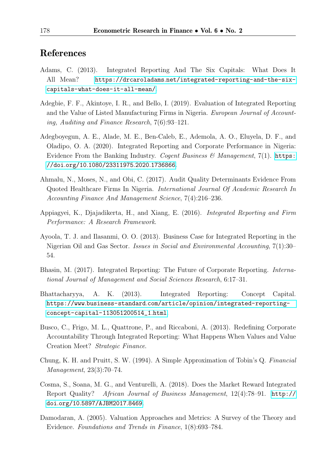### References

- <span id="page-15-3"></span>Adams, C. (2013). Integrated Reporting And The Six Capitals: What Does It All Mean? https://drcaroladams.[net/integrated-reporting-and-the-six](https://drcaroladams.net/integrated-reporting-and-the-six-capitals-what-does-it-all-mean/)[capitals-what-does-it-all-mean/](https://drcaroladams.net/integrated-reporting-and-the-six-capitals-what-does-it-all-mean/).
- <span id="page-15-6"></span>Adegbie, F. F., Akintoye, I. R., and Bello, I. (2019). Evaluation of Integrated Reporting and the Value of Listed Manufacturing Firms in Nigeria. European Journal of Accounting, Auditing and Finance Research, 7(6):93–121.
- <span id="page-15-8"></span>Adegboyegun, A. E., Alade, M. E., Ben-Caleb, E., Ademola, A. O., Eluyela, D. F., and Oladipo, O. A. (2020). Integrated Reporting and Corporate Performance in Nigeria: Evidence From the Banking Industry. Cogent Business & Management, 7(1). [https:](https://doi.org/10.1080/23311975.2020.1736866) //doi.org/10.[1080/23311975](https://doi.org/10.1080/23311975.2020.1736866).2020.1736866.
- <span id="page-15-7"></span>Ahmalu, N., Moses, N., and Obi, C. (2017). Audit Quality Determinants Evidence From Quoted Healthcare Firms In Nigeria. International Journal Of Academic Research In Accounting Finance And Management Science, 7(4):216–236.
- <span id="page-15-10"></span>Appiagyei, K., Djajadikerta, H., and Xiang, E. (2016). Integrated Reporting and Firm Performance: A Research Framework.
- <span id="page-15-0"></span>Ayoola, T. J. and Ilasanmi, O. O. (2013). Business Case for Integrated Reporting in the Nigerian Oil and Gas Sector. Issues in Social and Environmental Accounting, 7(1):30– 54.
- <span id="page-15-1"></span>Bhasin, M. (2017). Integrated Reporting: The Future of Corporate Reporting. International Journal of Management and Social Sciences Research, 6:17–31.
- <span id="page-15-4"></span>Bhattacharyya, A. K. (2013). Integrated Reporting: Concept Capital. https://www.business-standard.[com/article/opinion/integrated-reporting](https://www.business-standard.com/article/opinion/integrated-reporting-concept-capital-113051200514_1.html)[concept-capital-113051200514\\_1](https://www.business-standard.com/article/opinion/integrated-reporting-concept-capital-113051200514_1.html).html.
- <span id="page-15-2"></span>Busco, C., Frigo, M. L., Quattrone, P., and Riccaboni, A. (2013). Redefining Corporate Accountability Through Integrated Reporting: What Happens When Values and Value Creation Meet? Strategic Finance.
- <span id="page-15-11"></span>Chung, K. H. and Pruitt, S. W. (1994). A Simple Approximation of Tobin's Q. Financial Management, 23(3):70–74.
- <span id="page-15-9"></span>Cosma, S., Soana, M. G., and Venturelli, A. (2018). Does the Market Reward Integrated Report Quality? African Journal of Business Management, 12(4):78–91. [http://](http://doi.org/10.5897/AJBM2017.8469) doi.org/10.[5897/AJBM2017](http://doi.org/10.5897/AJBM2017.8469).8469.
- <span id="page-15-5"></span>Damodaran, A. (2005). Valuation Approaches and Metrics: A Survey of the Theory and Evidence. Foundations and Trends in Finance, 1(8):693–784.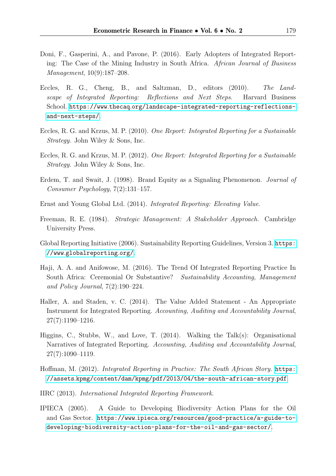- <span id="page-16-10"></span>Doni, F., Gasperini, A., and Pavone, P. (2016). Early Adopters of Integrated Reporting: The Case of the Mining Industry in South Africa. African Journal of Business Management, 10(9):187–208.
- Eccles, R. G., Cheng, B., and Saltzman, D., editors (2010). The Landscape of Integrated Reporting: Reflections and Next Steps. Harvard Business School. https://www.thecaq.[org/landscape-integrated-reporting-reflections](https://www.thecaq.org/landscape-integrated-reporting-reflections-and-next-steps/)[and-next-steps/](https://www.thecaq.org/landscape-integrated-reporting-reflections-and-next-steps/).
- <span id="page-16-0"></span>Eccles, R. G. and Krzus, M. P. (2010). One Report: Integrated Reporting for a Sustainable Strategy. John Wiley & Sons, Inc.
- Eccles, R. G. and Krzus, M. P. (2012). One Report: Integrated Reporting for a Sustainable Strategy. John Wiley & Sons, Inc.
- <span id="page-16-8"></span>Erdem, T. and Swait, J. (1998). Brand Equity as a Signaling Phenomenon. Journal of Consumer Psychology, 7(2):131–157.
- <span id="page-16-6"></span>Ernst and Young Global Ltd. (2014). Integrated Reporting: Elevating Value.
- <span id="page-16-7"></span>Freeman, R. E. (1984). Strategic Management: A Stakeholder Approach. Cambridge University Press.
- <span id="page-16-11"></span>Global Reporting Initiative (2006). Sustainability Reporting Guidelines, Version 3. [https:](https://www.globalreporting.org/) //www.[globalreporting](https://www.globalreporting.org/).org/.
- <span id="page-16-2"></span>Haji, A. A. and Anifowose, M. (2016). The Trend Of Integrated Reporting Practice In South Africa: Ceremonial Or Substantive? Sustainability Accounting, Management and Policy Journal, 7(2):190–224.
- <span id="page-16-5"></span>Haller, A. and Staden, v. C. (2014). The Value Added Statement - An Appropriate Instrument for Integrated Reporting. Accounting, Auditing and Accountability Journal, 27(7):1190–1216.
- <span id="page-16-3"></span>Higgins, C., Stubbs, W., and Love, T. (2014). Walking the Talk(s): Organisational Narratives of Integrated Reporting. Accounting, Auditing and Accountability Journal, 27(7):1090–1119.
- <span id="page-16-1"></span>Hoffman, M. (2012). Integrated Reporting in Practice: The South African Story. [https:](https://assets.kpmg/content/dam/kpmg/pdf/2013/04/the-south-african-story.pdf) //assets.[kpmg/content/dam/kpmg/pdf/2013/04/the-south-african-story](https://assets.kpmg/content/dam/kpmg/pdf/2013/04/the-south-african-story.pdf).pdf.
- <span id="page-16-4"></span>IIRC (2013). International Integrated Reporting Framework.
- <span id="page-16-9"></span>IPIECA (2005). A Guide to Developing Biodiversity Action Plans for the Oil and Gas Sector. https://www.ipieca.[org/resources/good-practice/a-guide-to](https://www.ipieca.org/resources/good-practice/a-guide-to-developing-biodiversity-action-plans-for-the-oil-and-gas-sector/)[developing-biodiversity-action-plans-for-the-oil-and-gas-sector/](https://www.ipieca.org/resources/good-practice/a-guide-to-developing-biodiversity-action-plans-for-the-oil-and-gas-sector/).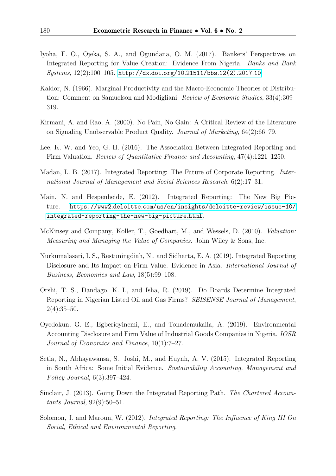- <span id="page-17-10"></span>Iyoha, F. O., Ojeka, S. A., and Ogundana, O. M. (2017). Bankers' Perspectives on Integrated Reporting for Value Creation: Evidence From Nigeria. Banks and Bank Systems, 12(2):100–105. [http://dx](http://dx.doi.org/10.21511/bbs.12(2).2017.10).doi.org/10.21511/bbs.12(2).2017.10.
- <span id="page-17-12"></span>Kaldor, N. (1966). Marginal Productivity and the Macro-Economic Theories of Distribution: Comment on Samuelson and Modigliani. Review of Economic Studies, 33(4):309– 319.
- <span id="page-17-9"></span>Kirmani, A. and Rao, A. (2000). No Pain, No Gain: A Critical Review of the Literature on Signaling Unobservable Product Quality. Journal of Marketing, 64(2):66–79.
- <span id="page-17-1"></span>Lee, K. W. and Yeo, G. H. (2016). The Association Between Integrated Reporting and Firm Valuation. Review of Quantitative Finance and Accounting, 47(4):1221–1250.
- <span id="page-17-2"></span>Madan, L. B. (2017). Integrated Reporting: The Future of Corporate Reporting. International Journal of Management and Social Sciences Research, 6(2):17–31.
- <span id="page-17-0"></span>Main, N. and Hespenheide, E. (2012). Integrated Reporting: The New Big Picture. https://www2.deloitte.[com/us/en/insights/deloitte-review/issue-10/](https://www2.deloitte.com/us/en/insights/deloitte-review/issue-10/integrated-reporting-the-new-big-picture.html) [integrated-reporting-the-new-big-picture](https://www2.deloitte.com/us/en/insights/deloitte-review/issue-10/integrated-reporting-the-new-big-picture.html).html.
- <span id="page-17-8"></span>McKinsey and Company, Koller, T., Goedhart, M., and Wessels, D. (2010). Valuation: Measuring and Managing the Value of Companies. John Wiley & Sons, Inc.
- <span id="page-17-4"></span>Nurkumalasari, I. S., Restuningdiah, N., and Sidharta, E. A. (2019). Integrated Reporting Disclosure and Its Impact on Firm Value: Evidence in Asia. International Journal of Business, Economics and Law, 18(5):99–108.
- <span id="page-17-3"></span>Orshi, T. S., Dandago, K. I., and Isha, R. (2019). Do Boards Determine Integrated Reporting in Nigerian Listed Oil and Gas Firms? SEISENSE Journal of Management,  $2(4):35-50.$
- <span id="page-17-7"></span>Oyedokun, G. E., Egberioyinemi, E., and Tonademukaila, A. (2019). Environmental Accounting Disclosure and Firm Value of Industrial Goods Companies in Nigeria. IOSR Journal of Economics and Finance, 10(1):7–27.
- <span id="page-17-11"></span>Setia, N., Abhayawansa, S., Joshi, M., and Huynh, A. V. (2015). Integrated Reporting in South Africa: Some Initial Evidence. Sustainability Accounting, Management and Policy Journal, 6(3):397–424.
- <span id="page-17-6"></span>Sinclair, J. (2013). Going Down the Integrated Reporting Path. The Chartered Accountants Journal, 92(9):50–51.
- <span id="page-17-5"></span>Solomon, J. and Maroun, W. (2012). Integrated Reporting: The Influence of King III On Social, Ethical and Environmental Reporting.